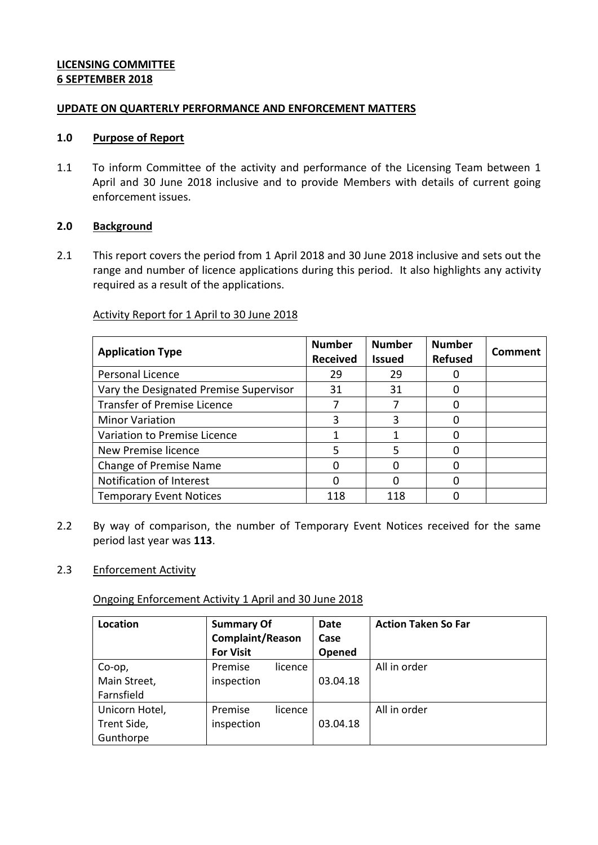## **LICENSING COMMITTEE 6 SEPTEMBER 2018**

### **UPDATE ON QUARTERLY PERFORMANCE AND ENFORCEMENT MATTERS**

### **1.0 Purpose of Report**

1.1 To inform Committee of the activity and performance of the Licensing Team between 1 April and 30 June 2018 inclusive and to provide Members with details of current going enforcement issues.

## **2.0 Background**

2.1 This report covers the period from 1 April 2018 and 30 June 2018 inclusive and sets out the range and number of licence applications during this period. It also highlights any activity required as a result of the applications.

## Activity Report for 1 April to 30 June 2018

| <b>Application Type</b>                | <b>Number</b><br><b>Received</b> | <b>Number</b><br><b>Issued</b> | <b>Number</b><br><b>Refused</b> | Comment |
|----------------------------------------|----------------------------------|--------------------------------|---------------------------------|---------|
| Personal Licence                       | 29                               | 29                             |                                 |         |
| Vary the Designated Premise Supervisor | 31                               | 31                             |                                 |         |
| <b>Transfer of Premise Licence</b>     |                                  |                                |                                 |         |
| <b>Minor Variation</b>                 | 3                                |                                |                                 |         |
| Variation to Premise Licence           |                                  |                                |                                 |         |
| New Premise licence                    | 5                                | 5                              |                                 |         |
| <b>Change of Premise Name</b>          | ი                                |                                |                                 |         |
| Notification of Interest               |                                  |                                |                                 |         |
| <b>Temporary Event Notices</b>         | 118                              | 118                            |                                 |         |

2.2 By way of comparison, the number of Temporary Event Notices received for the same period last year was **113**.

### 2.3 Enforcement Activity

Ongoing Enforcement Activity 1 April and 30 June 2018

| Location       | <b>Summary Of</b>       |         | Date     | <b>Action Taken So Far</b> |
|----------------|-------------------------|---------|----------|----------------------------|
|                | <b>Complaint/Reason</b> |         | Case     |                            |
|                | <b>For Visit</b>        |         | Opened   |                            |
| Co-op,         | Premise                 | licence |          | All in order               |
| Main Street,   | inspection              |         | 03.04.18 |                            |
| Farnsfield     |                         |         |          |                            |
| Unicorn Hotel, | Premise                 | licence |          | All in order               |
| Trent Side,    | inspection              |         | 03.04.18 |                            |
| Gunthorpe      |                         |         |          |                            |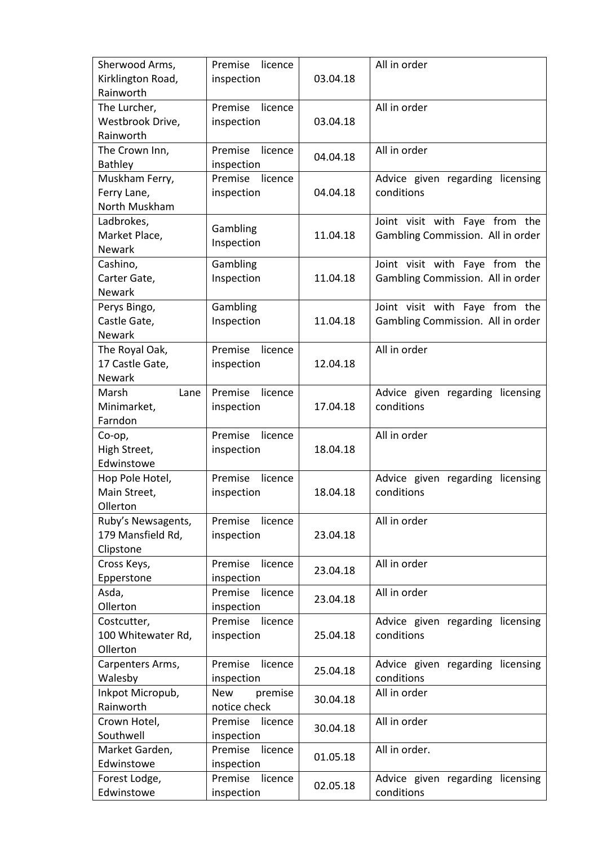| Sherwood Arms,<br>Kirklington Road, | Premise<br>licence<br>inspection | 03.04.18 | All in order                                   |
|-------------------------------------|----------------------------------|----------|------------------------------------------------|
| Rainworth                           |                                  |          |                                                |
| The Lurcher,                        | Premise<br>licence               |          | All in order                                   |
| Westbrook Drive,                    | inspection                       | 03.04.18 |                                                |
| Rainworth                           |                                  |          |                                                |
| The Crown Inn,                      | Premise<br>licence               | 04.04.18 | All in order                                   |
| <b>Bathley</b><br>Muskham Ferry,    | inspection<br>Premise<br>licence |          | Advice given regarding licensing               |
| Ferry Lane,                         | inspection                       | 04.04.18 | conditions                                     |
| North Muskham                       |                                  |          |                                                |
| Ladbrokes,                          |                                  |          | Joint visit with Faye from the                 |
| Market Place,                       | Gambling                         | 11.04.18 | Gambling Commission. All in order              |
| <b>Newark</b>                       | Inspection                       |          |                                                |
| Cashino,                            | Gambling                         |          | Joint visit with Faye from the                 |
| Carter Gate,                        | Inspection                       | 11.04.18 | Gambling Commission. All in order              |
| Newark                              |                                  |          |                                                |
| Perys Bingo,                        | Gambling                         |          | Joint visit with Faye from the                 |
| Castle Gate,                        | Inspection                       | 11.04.18 | Gambling Commission. All in order              |
| <b>Newark</b>                       |                                  |          |                                                |
| The Royal Oak,                      | licence<br>Premise               |          | All in order                                   |
| 17 Castle Gate,                     | inspection                       | 12.04.18 |                                                |
| <b>Newark</b>                       |                                  |          |                                                |
| Marsh<br>Lane                       | Premise<br>licence               |          | Advice given regarding licensing               |
| Minimarket,                         | inspection                       | 17.04.18 | conditions                                     |
| Farndon                             |                                  |          |                                                |
| Co-op,                              | Premise<br>licence               |          | All in order                                   |
| High Street,                        | inspection                       | 18.04.18 |                                                |
| Edwinstowe                          |                                  |          |                                                |
| Hop Pole Hotel,<br>Main Street,     | Premise<br>licence               | 18.04.18 | Advice given regarding licensing<br>conditions |
| Ollerton                            | inspection                       |          |                                                |
| Ruby's Newsagents,                  | licence<br>Premise               |          | All in order                                   |
| 179 Mansfield Rd,                   | inspection                       | 23.04.18 |                                                |
| Clipstone                           |                                  |          |                                                |
| Cross Keys,                         | Premise<br>licence               |          | All in order                                   |
| Epperstone                          | inspection                       | 23.04.18 |                                                |
| Asda,                               | Premise<br>licence               |          | All in order                                   |
| Ollerton                            | inspection                       | 23.04.18 |                                                |
| Costcutter,                         | Premise<br>licence               |          | Advice given regarding licensing               |
| 100 Whitewater Rd,                  | inspection                       | 25.04.18 | conditions                                     |
| Ollerton                            |                                  |          |                                                |
| Carpenters Arms,                    | Premise<br>licence               | 25.04.18 | Advice given regarding licensing               |
| Walesby                             | inspection                       |          | conditions                                     |
| Inkpot Micropub,                    | premise<br><b>New</b>            | 30.04.18 | All in order                                   |
| Rainworth                           | notice check                     |          |                                                |
| Crown Hotel,                        | Premise<br>licence               | 30.04.18 | All in order                                   |
| Southwell                           | inspection                       |          |                                                |
| Market Garden,                      | Premise<br>licence               | 01.05.18 | All in order.                                  |
| Edwinstowe                          | inspection                       |          |                                                |
| Forest Lodge,                       | Premise<br>licence               | 02.05.18 | Advice given regarding licensing               |
| Edwinstowe                          | inspection                       |          | conditions                                     |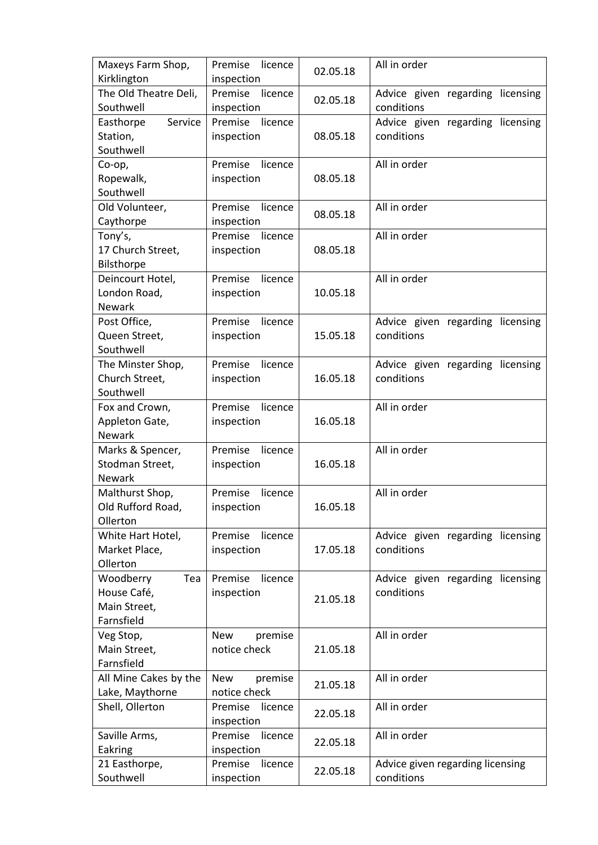| Maxeys Farm Shop,<br>Kirklington | Premise<br>licence<br>inspection | 02.05.18 | All in order                                   |
|----------------------------------|----------------------------------|----------|------------------------------------------------|
| The Old Theatre Deli,            | Premise<br>licence               |          |                                                |
| Southwell                        | inspection                       | 02.05.18 | Advice given regarding licensing<br>conditions |
| Easthorpe<br>Service             | Premise<br>licence               |          | Advice given regarding licensing               |
| Station,                         | inspection                       | 08.05.18 | conditions                                     |
| Southwell                        |                                  |          |                                                |
| Co-op,                           | Premise<br>licence               |          | All in order                                   |
| Ropewalk,                        | inspection                       | 08.05.18 |                                                |
| Southwell                        |                                  |          |                                                |
| Old Volunteer,                   | Premise<br>licence               | 08.05.18 | All in order                                   |
| Caythorpe                        | inspection                       |          |                                                |
| Tony's,                          | Premise<br>licence               |          | All in order                                   |
| 17 Church Street,                | inspection                       | 08.05.18 |                                                |
| Bilsthorpe                       |                                  |          |                                                |
| Deincourt Hotel,                 | licence<br>Premise               |          | All in order                                   |
| London Road,                     | inspection                       | 10.05.18 |                                                |
| <b>Newark</b>                    |                                  |          |                                                |
| Post Office,                     | Premise<br>licence               |          | Advice given regarding licensing               |
| Queen Street,                    | inspection                       | 15.05.18 | conditions                                     |
| Southwell                        |                                  |          |                                                |
| The Minster Shop,                | Premise<br>licence               |          | Advice given regarding licensing               |
| Church Street,                   | inspection                       | 16.05.18 | conditions                                     |
| Southwell                        |                                  |          |                                                |
| Fox and Crown,                   | Premise<br>licence               |          | All in order                                   |
| Appleton Gate,                   | inspection                       | 16.05.18 |                                                |
| <b>Newark</b>                    |                                  |          |                                                |
| Marks & Spencer,                 | Premise<br>licence               |          | All in order                                   |
| Stodman Street,                  | inspection                       | 16.05.18 |                                                |
| Newark                           |                                  |          |                                                |
| Malthurst Shop,                  | licence<br>Premise               |          | All in order                                   |
| Old Rufford Road,                | inspection                       | 16.05.18 |                                                |
| Ollerton                         |                                  |          |                                                |
| White Hart Hotel,                | Premise<br>licence               |          | Advice given regarding licensing               |
| Market Place,                    | inspection                       | 17.05.18 | conditions                                     |
| Ollerton                         |                                  |          |                                                |
| Woodberry<br>Tea                 | licence<br>Premise               |          | Advice given regarding licensing               |
| House Café,                      | inspection                       | 21.05.18 | conditions                                     |
| Main Street,                     |                                  |          |                                                |
| Farnsfield                       |                                  |          |                                                |
| Veg Stop,                        | premise<br><b>New</b>            |          | All in order                                   |
| Main Street,                     | notice check                     | 21.05.18 |                                                |
| Farnsfield                       |                                  |          |                                                |
| All Mine Cakes by the            | premise<br><b>New</b>            | 21.05.18 | All in order                                   |
| Lake, Maythorne                  | notice check                     |          |                                                |
| Shell, Ollerton                  | Premise<br>licence<br>inspection | 22.05.18 | All in order                                   |
| Saville Arms,                    | Premise<br>licence               |          | All in order                                   |
| Eakring                          | inspection                       | 22.05.18 |                                                |
| 21 Easthorpe,                    | Premise<br>licence               |          | Advice given regarding licensing               |
| Southwell                        | inspection                       | 22.05.18 | conditions                                     |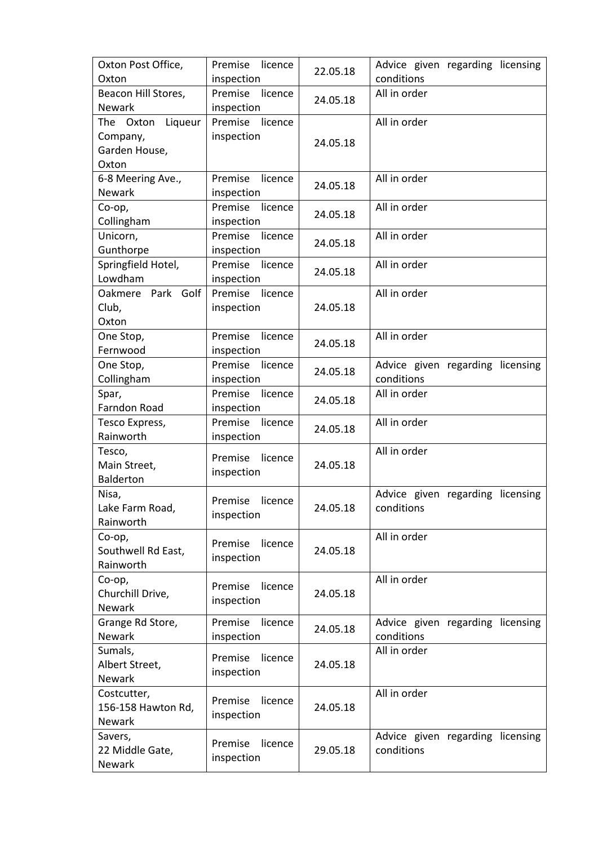| Oxton Post Office,   | Premise<br>licence | 22.05.18 | Advice given regarding licensing |
|----------------------|--------------------|----------|----------------------------------|
| Oxton                | inspection         |          | conditions                       |
| Beacon Hill Stores,  | Premise<br>licence | 24.05.18 | All in order                     |
| <b>Newark</b>        | inspection         |          |                                  |
| Liqueur<br>The Oxton | Premise<br>licence |          | All in order                     |
| Company,             | inspection         | 24.05.18 |                                  |
| Garden House,        |                    |          |                                  |
| Oxton                |                    |          |                                  |
| 6-8 Meering Ave.,    | Premise<br>licence | 24.05.18 | All in order                     |
| <b>Newark</b>        | inspection         |          |                                  |
| Co-op,               | Premise<br>licence | 24.05.18 | All in order                     |
| Collingham           | inspection         |          |                                  |
| Unicorn,             | Premise<br>licence | 24.05.18 | All in order                     |
| Gunthorpe            | inspection         |          |                                  |
| Springfield Hotel,   | Premise<br>licence | 24.05.18 | All in order                     |
| Lowdham              | inspection         |          |                                  |
| Oakmere Park Golf    | Premise<br>licence |          | All in order                     |
| Club,                | inspection         | 24.05.18 |                                  |
| Oxton                |                    |          |                                  |
| One Stop,            | Premise licence    | 24.05.18 | All in order                     |
| Fernwood             | inspection         |          |                                  |
| One Stop,            | Premise<br>licence | 24.05.18 | Advice given regarding licensing |
| Collingham           | inspection         |          | conditions                       |
| Spar,                | Premise<br>licence |          | All in order                     |
| Farndon Road         | inspection         | 24.05.18 |                                  |
| Tesco Express,       | Premise<br>licence | 24.05.18 | All in order                     |
| Rainworth            | inspection         |          |                                  |
| Tesco,               | Premise<br>licence |          | All in order                     |
| Main Street,         |                    | 24.05.18 |                                  |
| Balderton            | inspection         |          |                                  |
| Nisa,                | Premise<br>licence |          | Advice given regarding licensing |
| Lake Farm Road,      |                    | 24.05.18 | conditions                       |
| Rainworth            | inspection         |          |                                  |
| Co-op,               | Premise<br>licence |          | All in order                     |
| Southwell Rd East,   |                    | 24.05.18 |                                  |
| Rainworth            | inspection         |          |                                  |
| Co-op,               |                    |          | All in order                     |
| Churchill Drive,     | Premise<br>licence | 24.05.18 |                                  |
| <b>Newark</b>        | inspection         |          |                                  |
| Grange Rd Store,     | Premise<br>licence |          | Advice given regarding licensing |
| <b>Newark</b>        | inspection         | 24.05.18 | conditions                       |
| Sumals,              |                    |          | All in order                     |
| Albert Street,       | Premise<br>licence | 24.05.18 |                                  |
| Newark               | inspection         |          |                                  |
| Costcutter,          |                    |          | All in order                     |
| 156-158 Hawton Rd,   | Premise<br>licence | 24.05.18 |                                  |
| <b>Newark</b>        | inspection         |          |                                  |
| Savers,              |                    |          | Advice given regarding licensing |
| 22 Middle Gate,      | Premise<br>licence | 29.05.18 | conditions                       |
| Newark               | inspection         |          |                                  |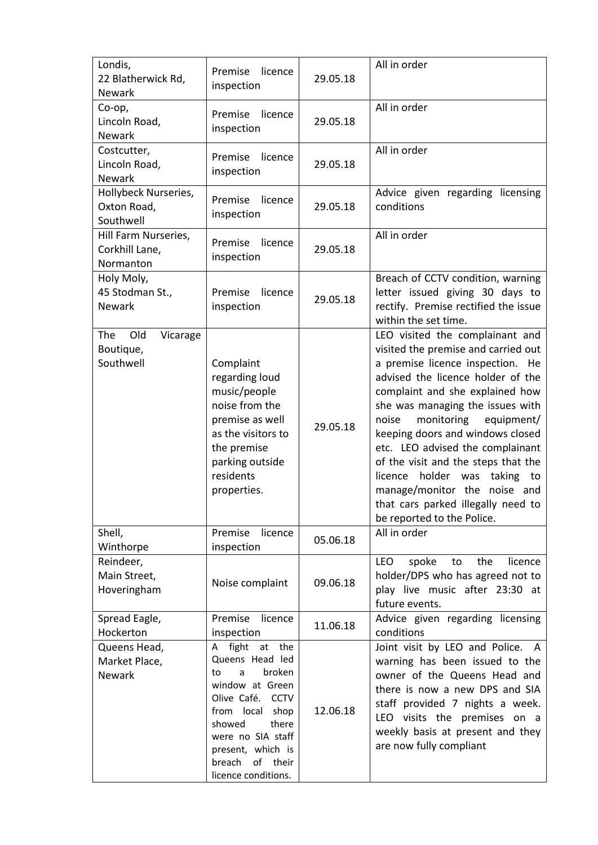| Londis,<br>22 Blatherwick Rd,<br><b>Newark</b>          | Premise<br>licence<br>inspection                                                                                                                                                                                                    | 29.05.18 | All in order                                                                                                                                                                                                                                                                                                                                                                                                                                                                                                         |
|---------------------------------------------------------|-------------------------------------------------------------------------------------------------------------------------------------------------------------------------------------------------------------------------------------|----------|----------------------------------------------------------------------------------------------------------------------------------------------------------------------------------------------------------------------------------------------------------------------------------------------------------------------------------------------------------------------------------------------------------------------------------------------------------------------------------------------------------------------|
| Co-op,<br>Lincoln Road,<br>Newark                       | licence<br>Premise<br>inspection                                                                                                                                                                                                    | 29.05.18 | All in order                                                                                                                                                                                                                                                                                                                                                                                                                                                                                                         |
| Costcutter,<br>Lincoln Road,<br><b>Newark</b>           | Premise<br>licence<br>inspection                                                                                                                                                                                                    | 29.05.18 | All in order                                                                                                                                                                                                                                                                                                                                                                                                                                                                                                         |
| Hollybeck Nurseries,<br>Oxton Road,<br>Southwell        | Premise<br>licence<br>inspection                                                                                                                                                                                                    | 29.05.18 | Advice given regarding licensing<br>conditions                                                                                                                                                                                                                                                                                                                                                                                                                                                                       |
| Hill Farm Nurseries,<br>Corkhill Lane,<br>Normanton     | Premise<br>licence<br>inspection                                                                                                                                                                                                    | 29.05.18 | All in order                                                                                                                                                                                                                                                                                                                                                                                                                                                                                                         |
| Holy Moly,<br>45 Stodman St.,<br>Newark                 | licence<br>Premise<br>inspection                                                                                                                                                                                                    | 29.05.18 | Breach of CCTV condition, warning<br>letter issued giving 30 days to<br>rectify. Premise rectified the issue<br>within the set time.                                                                                                                                                                                                                                                                                                                                                                                 |
| <b>The</b><br>Old<br>Vicarage<br>Boutique,<br>Southwell | Complaint<br>regarding loud<br>music/people<br>noise from the<br>premise as well<br>as the visitors to<br>the premise<br>parking outside<br>residents<br>properties.                                                                | 29.05.18 | LEO visited the complainant and<br>visited the premise and carried out<br>a premise licence inspection. He<br>advised the licence holder of the<br>complaint and she explained how<br>she was managing the issues with<br>monitoring<br>equipment/<br>noise<br>keeping doors and windows closed<br>etc. LEO advised the complainant<br>of the visit and the steps that the<br>holder was<br>taking to<br>licence<br>manage/monitor the noise and<br>that cars parked illegally need to<br>be reported to the Police. |
| Shell,<br>Winthorpe                                     | Premise<br>licence<br>inspection                                                                                                                                                                                                    | 05.06.18 | All in order                                                                                                                                                                                                                                                                                                                                                                                                                                                                                                         |
| Reindeer,<br>Main Street,<br>Hoveringham                | Noise complaint                                                                                                                                                                                                                     | 09.06.18 | <b>LEO</b><br>the<br>licence<br>spoke<br>to<br>holder/DPS who has agreed not to<br>play live music after 23:30 at<br>future events.                                                                                                                                                                                                                                                                                                                                                                                  |
| Spread Eagle,<br>Hockerton                              | Premise<br>licence<br>inspection                                                                                                                                                                                                    | 11.06.18 | Advice given regarding licensing<br>conditions                                                                                                                                                                                                                                                                                                                                                                                                                                                                       |
| Queens Head,<br>Market Place,<br>Newark                 | fight at<br>the<br>A<br>Queens Head led<br>broken<br>to<br>a<br>window at Green<br>Olive Café. CCTV<br>from local<br>shop<br>showed<br>there<br>were no SIA staff<br>present, which is<br>of their<br>breach<br>licence conditions. | 12.06.18 | Joint visit by LEO and Police. A<br>warning has been issued to the<br>owner of the Queens Head and<br>there is now a new DPS and SIA<br>staff provided 7 nights a week.<br>LEO visits the premises on a<br>weekly basis at present and they<br>are now fully compliant                                                                                                                                                                                                                                               |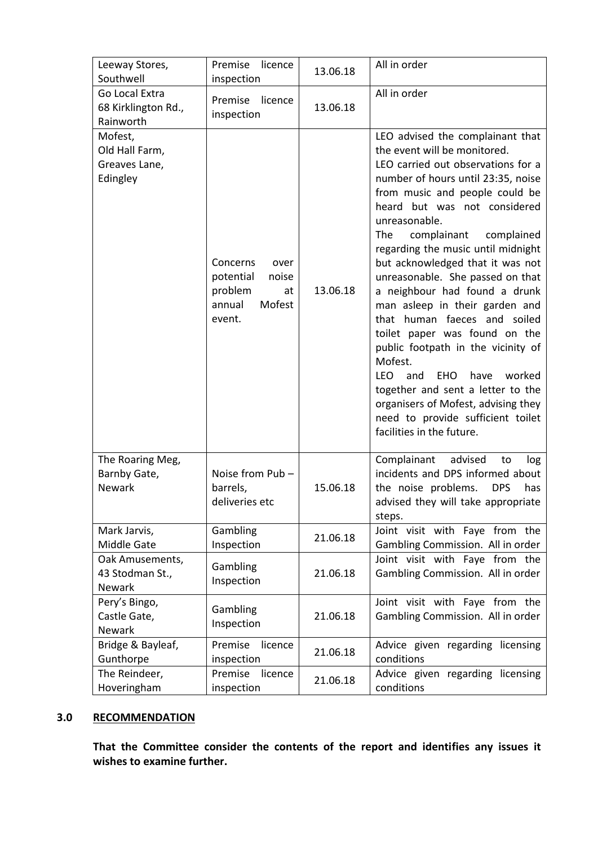| Leeway Stores,<br>Southwell                            | Premise<br>licence<br>inspection                                                      | 13.06.18 | All in order                                                                                                                                                                                                                                                                                                                                                                                                                                                                                                                                                                                                                                                                                                                                                                     |
|--------------------------------------------------------|---------------------------------------------------------------------------------------|----------|----------------------------------------------------------------------------------------------------------------------------------------------------------------------------------------------------------------------------------------------------------------------------------------------------------------------------------------------------------------------------------------------------------------------------------------------------------------------------------------------------------------------------------------------------------------------------------------------------------------------------------------------------------------------------------------------------------------------------------------------------------------------------------|
| Go Local Extra<br>68 Kirklington Rd.,<br>Rainworth     | Premise<br>licence<br>inspection                                                      | 13.06.18 | All in order                                                                                                                                                                                                                                                                                                                                                                                                                                                                                                                                                                                                                                                                                                                                                                     |
| Mofest,<br>Old Hall Farm,<br>Greaves Lane,<br>Edingley | Concerns<br>over<br>potential<br>noise<br>problem<br>at<br>Mofest<br>annual<br>event. | 13.06.18 | LEO advised the complainant that<br>the event will be monitored.<br>LEO carried out observations for a<br>number of hours until 23:35, noise<br>from music and people could be<br>heard but was not considered<br>unreasonable.<br><b>The</b><br>complainant<br>complained<br>regarding the music until midnight<br>but acknowledged that it was not<br>unreasonable. She passed on that<br>a neighbour had found a drunk<br>man asleep in their garden and<br>that human faeces and soiled<br>toilet paper was found on the<br>public footpath in the vicinity of<br>Mofest.<br><b>LEO</b><br><b>EHO</b><br>worked<br>and<br>have<br>together and sent a letter to the<br>organisers of Mofest, advising they<br>need to provide sufficient toilet<br>facilities in the future. |
| The Roaring Meg,<br>Barnby Gate,<br><b>Newark</b>      | Noise from Pub-<br>barrels,<br>deliveries etc                                         | 15.06.18 | Complainant<br>advised<br>to<br>log<br>incidents and DPS informed about<br>the noise problems.<br><b>DPS</b><br>has<br>advised they will take appropriate<br>steps.                                                                                                                                                                                                                                                                                                                                                                                                                                                                                                                                                                                                              |
| Mark Jarvis,<br>Middle Gate                            | Gambling<br>Inspection                                                                | 21.06.18 | Joint visit with Faye from the<br>Gambling Commission. All in order                                                                                                                                                                                                                                                                                                                                                                                                                                                                                                                                                                                                                                                                                                              |
| Oak Amusements,<br>43 Stodman St.,<br>Newark           | Gambling<br>Inspection                                                                | 21.06.18 | Joint visit with Faye from the<br>Gambling Commission. All in order                                                                                                                                                                                                                                                                                                                                                                                                                                                                                                                                                                                                                                                                                                              |
| Pery's Bingo,<br>Castle Gate,<br><b>Newark</b>         | Gambling<br>Inspection                                                                | 21.06.18 | Joint visit with Faye from the<br>Gambling Commission. All in order                                                                                                                                                                                                                                                                                                                                                                                                                                                                                                                                                                                                                                                                                                              |
| Bridge & Bayleaf,<br>Gunthorpe                         | Premise<br>licence<br>inspection                                                      | 21.06.18 | Advice given regarding licensing<br>conditions                                                                                                                                                                                                                                                                                                                                                                                                                                                                                                                                                                                                                                                                                                                                   |
| The Reindeer,<br>Hoveringham                           | Premise<br>licence<br>inspection                                                      | 21.06.18 | Advice given regarding licensing<br>conditions                                                                                                                                                                                                                                                                                                                                                                                                                                                                                                                                                                                                                                                                                                                                   |

# **3.0 RECOMMENDATION**

**That the Committee consider the contents of the report and identifies any issues it wishes to examine further.**